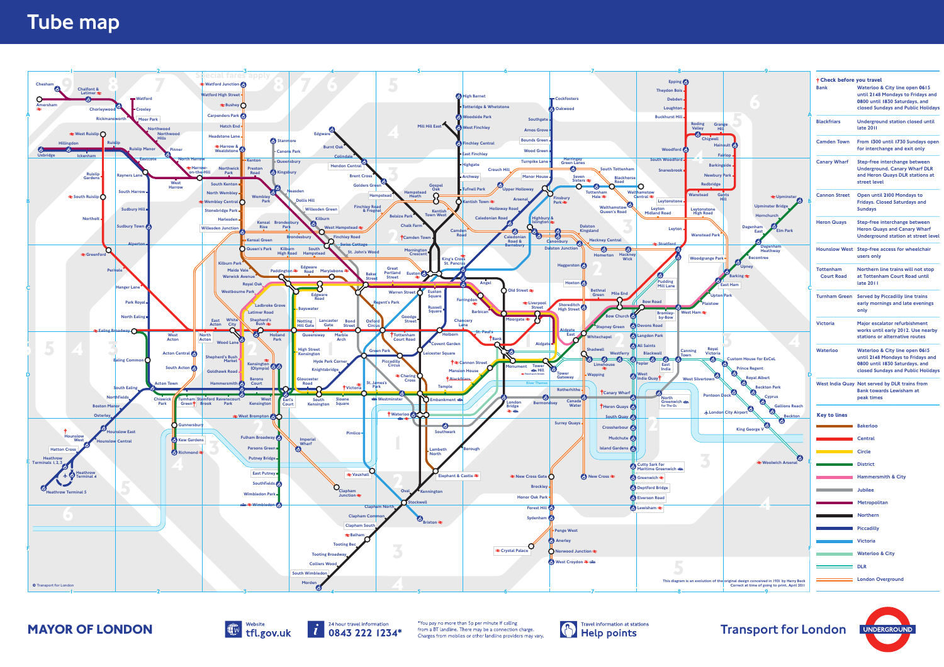











| <b>† Check before you travel</b><br><b>Bank</b>                                                                                                                              | Waterloo & City line open 0615<br>until 2148 Mondays to Fridays and                                                                         |
|------------------------------------------------------------------------------------------------------------------------------------------------------------------------------|---------------------------------------------------------------------------------------------------------------------------------------------|
|                                                                                                                                                                              | 0800 until 1830 Saturdays, and<br>closed Sundays and Public Holidays                                                                        |
| <b>Blackfriars</b>                                                                                                                                                           | <b>Underground station closed until</b><br>late 2011                                                                                        |
| <b>Camden Town</b>                                                                                                                                                           | From 1300 until 1730 Sundays open<br>for interchange and exit only                                                                          |
| <b>Canary Wharf</b>                                                                                                                                                          | Step-free interchange between<br><b>Underground, Canary Wharf DLR</b><br>and Heron Quays DLR stations at<br>street level                    |
| <b>Cannon Street</b>                                                                                                                                                         | Open until 2100 Mondays to<br><b>Fridays. Closed Saturdays and</b><br><b>Sundays</b>                                                        |
| <b>Heron Quays</b>                                                                                                                                                           | Step-free interchange between<br><b>Heron Quays and Canary Wharf</b><br>Underground station at street level                                 |
| <b>Hounslow West</b>                                                                                                                                                         | Step-free access for wheelchair<br>users only                                                                                               |
| <b>Tottenham</b><br><b>Court Road</b>                                                                                                                                        | Northern line trains will not stop<br>at Tottenham Court Road until<br>late 2011                                                            |
| <b>Turnham Green</b>                                                                                                                                                         | <b>Served by Piccadilly line trains</b><br>early mornings and late evenings<br>only                                                         |
| <b>Victoria</b>                                                                                                                                                              | Major escalator refurbishment<br>works until early 2012. Use nearby<br>stations or alternative routes                                       |
| Waterloo                                                                                                                                                                     | Waterloo & City line open 0615<br>until 2148 Mondays to Fridays and<br>0800 until 1830 Saturdays, and<br>closed Sundays and Public Holidays |
|                                                                                                                                                                              | West India Quay Not served by DLR trains from<br><b>Bank towards Lewisham at</b><br>peak times                                              |
| <b>Key to lines</b>                                                                                                                                                          |                                                                                                                                             |
| $\mathcal{L}^{\mathcal{L}}(\mathcal{L}^{\mathcal{L}})$ and $\mathcal{L}^{\mathcal{L}}(\mathcal{L}^{\mathcal{L}})$ and $\mathcal{L}^{\mathcal{L}}(\mathcal{L}^{\mathcal{L}})$ | <b>Bakerloo</b>                                                                                                                             |
|                                                                                                                                                                              | <b>Central</b>                                                                                                                              |
| <b>Circle</b> Circle                                                                                                                                                         |                                                                                                                                             |
| <b>District</b> District                                                                                                                                                     |                                                                                                                                             |
|                                                                                                                                                                              | <b>Hammersmith &amp; City</b>                                                                                                               |
| <b>Example 20 Service State Street Service</b>                                                                                                                               |                                                                                                                                             |
|                                                                                                                                                                              | Metropolitan                                                                                                                                |
| Northern                                                                                                                                                                     |                                                                                                                                             |
| <b>Example 2018 1 Piccadilly</b>                                                                                                                                             |                                                                                                                                             |
|                                                                                                                                                                              | Victoria                                                                                                                                    |
|                                                                                                                                                                              | <b>Example 3 Waterloo &amp; City</b>                                                                                                        |
| $\overline{\phantom{a}}$ DLR                                                                                                                                                 |                                                                                                                                             |
|                                                                                                                                                                              | London Overground                                                                                                                           |
|                                                                                                                                                                              |                                                                                                                                             |

## Tube map